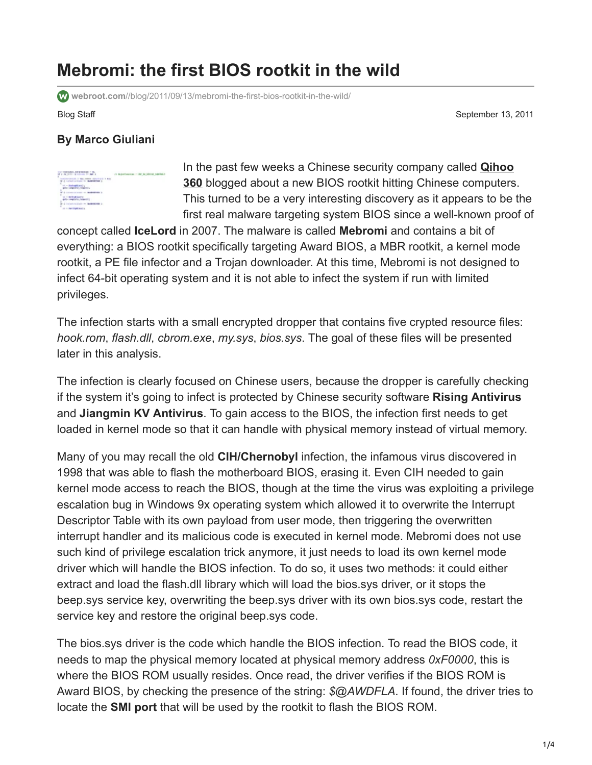## **Mebromi: the first BIOS rootkit in the wild**

**webroot.com**[//blog/2011/09/13/mebromi-the-first-bios-rootkit-in-the-wild/](https://www.webroot.com//blog/2011/09/13/mebromi-the-first-bios-rootkit-in-the-wild/)

Blog Staff September 13, 2011

## **By Marco Giuliani**



In the past few weeks a Chinese security company called **Qihoo 360** [blogged about a new BIOS rootkit hitting Chinese computers](http://bbs.360.cn/4005462/251096134.html). This turned to be a very interesting discovery as it appears to be the first real malware targeting system BIOS since a well-known proof of

concept called **IceLord** in 2007. The malware is called **Mebromi** and contains a bit of everything: a BIOS rootkit specifically targeting Award BIOS, a MBR rootkit, a kernel mode rootkit, a PE file infector and a Trojan downloader. At this time, Mebromi is not designed to infect 64-bit operating system and it is not able to infect the system if run with limited privileges.

The infection starts with a small encrypted dropper that contains five crypted resource files: *hook.rom*, *flash.dll*, *cbrom.exe*, *my.sys*, *bios.sys*. The goal of these files will be presented later in this analysis.

The infection is clearly focused on Chinese users, because the dropper is carefully checking if the system it's going to infect is protected by Chinese security software **Rising Antivirus** and **Jiangmin KV Antivirus**. To gain access to the BIOS, the infection first needs to get loaded in kernel mode so that it can handle with physical memory instead of virtual memory.

Many of you may recall the old **CIH/Chernobyl** infection, the infamous virus discovered in 1998 that was able to flash the motherboard BIOS, erasing it. Even CIH needed to gain kernel mode access to reach the BIOS, though at the time the virus was exploiting a privilege escalation bug in Windows 9x operating system which allowed it to overwrite the Interrupt Descriptor Table with its own payload from user mode, then triggering the overwritten interrupt handler and its malicious code is executed in kernel mode. Mebromi does not use such kind of privilege escalation trick anymore, it just needs to load its own kernel mode driver which will handle the BIOS infection. To do so, it uses two methods: it could either extract and load the flash.dll library which will load the bios.sys driver, or it stops the beep.sys service key, overwriting the beep.sys driver with its own bios.sys code, restart the service key and restore the original beep.sys code.

The bios.sys driver is the code which handle the BIOS infection. To read the BIOS code, it needs to map the physical memory located at physical memory address *0xF0000*, this is where the BIOS ROM usually resides. Once read, the driver verifies if the BIOS ROM is Award BIOS, by checking the presence of the string: *\$@AWDFLA*. If found, the driver tries to locate the **SMI port** that will be used by the rootkit to flash the BIOS ROM.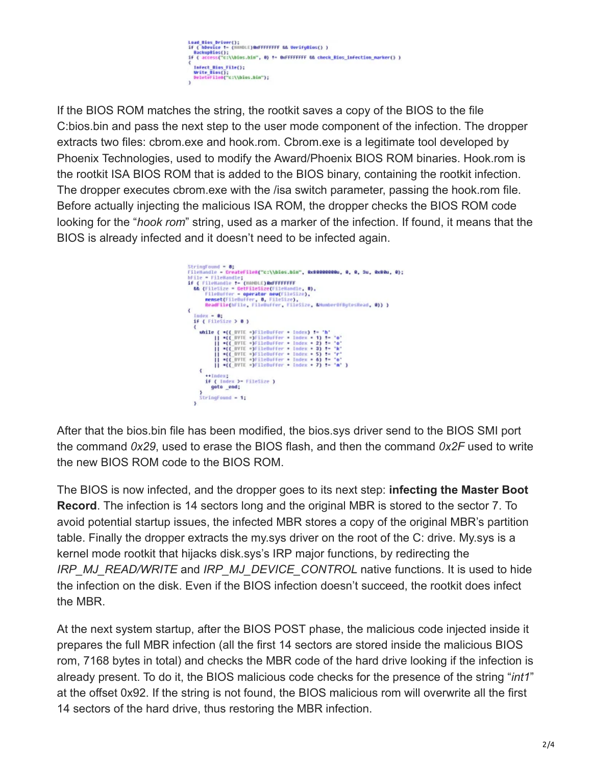

If the BIOS ROM matches the string, the rootkit saves a copy of the BIOS to the file C:bios.bin and pass the next step to the user mode component of the infection. The dropper extracts two files: cbrom.exe and hook.rom. Cbrom.exe is a legitimate tool developed by Phoenix Technologies, used to modify the Award/Phoenix BIOS ROM binaries. Hook.rom is the rootkit ISA BIOS ROM that is added to the BIOS binary, containing the rootkit infection. The dropper executes cbrom.exe with the /isa switch parameter, passing the hook.rom file. Before actually injecting the malicious ISA ROM, the dropper checks the BIOS ROM code looking for the "*hook rom*" string, used as a marker of the infection. If found, it means that the BIOS is already infected and it doesn't need to be infected again.



After that the bios.bin file has been modified, the bios.sys driver send to the BIOS SMI port the command *0x29*, used to erase the BIOS flash, and then the command *0x2F* used to write the new BIOS ROM code to the BIOS ROM.

The BIOS is now infected, and the dropper goes to its next step: **infecting the Master Boot Record**. The infection is 14 sectors long and the original MBR is stored to the sector 7. To avoid potential startup issues, the infected MBR stores a copy of the original MBR's partition table. Finally the dropper extracts the my.sys driver on the root of the C: drive. My.sys is a kernel mode rootkit that hijacks disk.sys's IRP major functions, by redirecting the *IRP\_MJ\_READ/WRITE* and *IRP\_MJ\_DEVICE\_CONTROL* native functions. It is used to hide the infection on the disk. Even if the BIOS infection doesn't succeed, the rootkit does infect the MBR.

At the next system startup, after the BIOS POST phase, the malicious code injected inside it prepares the full MBR infection (all the first 14 sectors are stored inside the malicious BIOS rom, 7168 bytes in total) and checks the MBR code of the hard drive looking if the infection is already present. To do it, the BIOS malicious code checks for the presence of the string "*int1*" at the offset 0x92. If the string is not found, the BIOS malicious rom will overwrite all the first 14 sectors of the hard drive, thus restoring the MBR infection.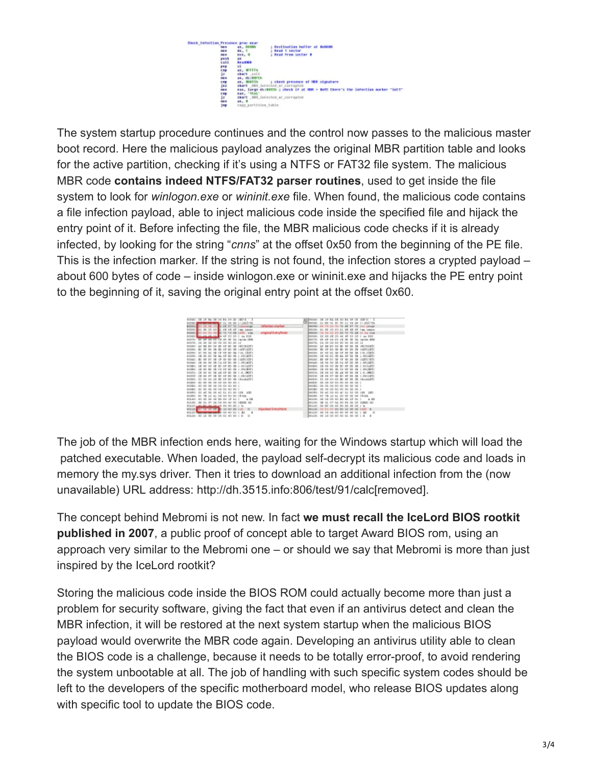

The system startup procedure continues and the control now passes to the malicious master boot record. Here the malicious payload analyzes the original MBR partition table and looks for the active partition, checking if it's using a NTFS or FAT32 file system. The malicious MBR code **contains indeed NTFS/FAT32 parser routines**, used to get inside the file system to look for *winlogon.exe* or *wininit.exe* file. When found, the malicious code contains a file infection payload, able to inject malicious code inside the specified file and hijack the entry point of it. Before infecting the file, the MBR malicious code checks if it is already infected, by looking for the string "*cnns*" at the offset 0x50 from the beginning of the PE file. This is the infection marker. If the string is not found, the infection stores a crypted payload – about 600 bytes of code – inside winlogon.exe or wininit.exe and hijacks the PE entry point to the beginning of it, saving the original entry point at the offset 0x60.

| 00040: EX 13 34 08<br>18019-1-1                                        |                       | All Brock E . 16              |                             |          |                 | $10.14$ in G. $(30.07)$ $-1$            |  |
|------------------------------------------------------------------------|-----------------------|-------------------------------|-----------------------------|----------|-----------------|-----------------------------------------|--|
| 34 49 11,052119.                                                       |                       | Shopes, 11                    | $+7$                        |          |                 | CD 21 84 48 11 832 775                  |  |
| 醞<br><b>SECTIONS</b><br><b>Entrance Lab</b>                            | infire liters murders | <b>DIDLER: KH</b>             |                             | 10.34    |                 | all all 20 the people                   |  |
| 80008<br>43<br>48<br><b>GE GE</b><br><b>GRONT</b>                      |                       | <b>DISCER: 40</b>             |                             |          |                 | <b>CHARLES</b>                          |  |
| 800608<br><b>CEAR IN OR BY</b><br><b>THE</b>                           | original EntryPoint   | <b>DIREKTE</b>                |                             |          |                 | <b>Big stay</b>                         |  |
| scoust.<br>the ga as in the 4F 12-20 1 in DOE                          |                       |                               |                             |          |                 | DOORS: 1H 49 4K 30 44 4F 13 1H 1 un 202 |  |
| mourne; tall are an<br><b>Lighting FROM</b><br>тĸ                      |                       | <b>Board Car</b>              | 48.<br>58 55                | $-1$     |                 | <b>Tanda, BOD</b>                       |  |
| 10/00/38<br>$80 - 13$                                                  |                       | bocra. Iv                     |                             |          |                 | 00110                                   |  |
| Let recove<br><b>BODIET: 328</b><br><b>MT 915</b>                      |                       | <b>BIRTHE: AN</b>             | 88                          |          |                 | 185 NSLRTS                              |  |
| 00088: ED 89 30 33.<br>4F 10 GE LICELICE<br>x <sub>2</sub>             |                       | $2$                           |                             |          | 20 <sub>1</sub> | IB HETILETI                             |  |
| ing, clot<br>800001 SC RD                                              |                       | bmeyer.                       |                             |          |                 | 11.8.1 DPT1                             |  |
| 1.451407<br>000ML JX 80 30                                             |                       | $24 - 340046$                 | D.C.                        |          | 24              | <b>GE 1.6011071</b>                     |  |
| SOR LYCE<br><b>BOOMS!</b> III                                          |                       | <b>DIREAR</b><br>$\mathbf{r}$ |                             |          |                 |                                         |  |
| 491407<br>80044 - 23                                                   |                       | BOGAR- 18                     |                             |          |                 | 1.6613871                               |  |
| 1. AVOIDE<br><b>BOOBS: IX</b>                                          |                       | 00008.13                      |                             |          |                 | <b>KATARTY</b>                          |  |
| $-474$ (\$0.97 )<br><b>GOODS: JA 00</b><br>80<br>5.30                  |                       | $100000 - 10000$              |                             |          |                 |                                         |  |
| 000C0: IX 00 80<br>$^{18}$                                             |                       | <b>BROCH. IN</b>              | <b>15 IT 15</b>             |          |                 |                                         |  |
| $1 - 10$ in 1963 $-1$<br><b>BODDET 28 BE 87</b><br>$-1.31$<br>$\cdots$ |                       | booter in                     |                             |          |                 | 1.0411891                               |  |
| 00000: 03 OF 63 OR<br>OF 10-10-194-64271<br>X2                         |                       |                               | <b>DOGG- 12 49 45</b>       | $\equiv$ | 30 <sub>1</sub> | <b>ER I Bushel ET1</b>                  |  |
| 800801 80                                                              |                       | books: no                     |                             |          |                 |                                         |  |
|                                                                        |                       |                               |                             |          |                 |                                         |  |
| <b>BODBE: BO BE BE</b>                                                 |                       | <b>DISCERT SH</b>             | $-$<br>COL INC.             |          |                 |                                         |  |
| 12/00/01<br>42 04 05 00 193 UOI<br><b>BR</b><br>$-56$                  |                       | bocru ra                      | 45 00 00 40 51 53 08 126    |          |                 | LEO                                     |  |
| <b>BD 15-CM</b><br><b>BOORNEL BC</b><br>$-1$                           |                       | bocru se                      |                             |          |                 | $19 - 04$                               |  |
| $+04$<br>37.84<br>804.84                                               |                       | <b>Box 204</b>                |                             |          |                 | $+00$                                   |  |
| <b>BXB 40</b><br>1804,081<br>R1 87<br>$-$                              |                       | <b>DILION: 08</b>             |                             | 11.61    |                 | <b>KEED 4D</b>                          |  |
| 804.04<br>side side at Au-                                             |                       | built in                      |                             |          |                 | $1 - 3a$                                |  |
| SOLDE OF 13 10 OF \$1<br>35<br>$\Box$                                  | Histoked EntryPaint   | DE118-13                      |                             |          |                 | $\blacksquare$                          |  |
| 804.04<br>$\mathcal{M}$                                                |                       | $1001110 - 10$                |                             |          |                 | $^{12}$                                 |  |
| 08 08 02 80 80 F<br>80128: 80 18 98<br>$\circ$<br>$\Box$               |                       |                               | BHIIB: 08 18 00 00 00 82 BE |          |                 | 0818<br>- 11                            |  |

The job of the MBR infection ends here, waiting for the Windows startup which will load the patched executable. When loaded, the payload self-decrypt its malicious code and loads in memory the my.sys driver. Then it tries to download an additional infection from the (now unavailable) URL address: http://dh.3515.info:806/test/91/calc[removed].

The concept behind Mebromi is not new. In fact **we must recall the IceLord BIOS rootkit published in 2007**, a public proof of concept able to target Award BIOS rom, using an approach very similar to the Mebromi one – or should we say that Mebromi is more than just inspired by the IceLord rootkit?

Storing the malicious code inside the BIOS ROM could actually become more than just a problem for security software, giving the fact that even if an antivirus detect and clean the MBR infection, it will be restored at the next system startup when the malicious BIOS payload would overwrite the MBR code again. Developing an antivirus utility able to clean the BIOS code is a challenge, because it needs to be totally error-proof, to avoid rendering the system unbootable at all. The job of handling with such specific system codes should be left to the developers of the specific motherboard model, who release BIOS updates along with specific tool to update the BIOS code.